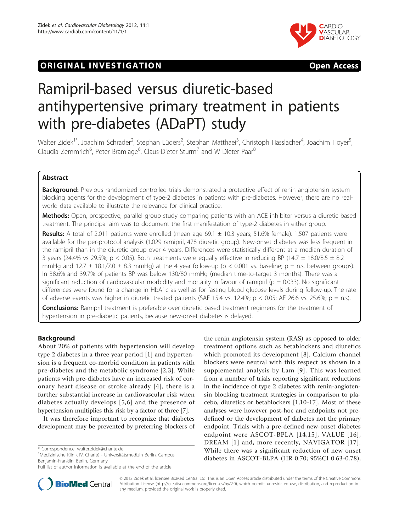# **ORIGINAL INVESTIGATION CONSIDERING OPEN ACCESS**





# Ramipril-based versus diuretic-based antihypertensive primary treatment in patients with pre-diabetes (ADaPT) study

Walter Zidek<sup>1\*</sup>, Joachim Schrader<sup>2</sup>, Stephan Lüders<sup>2</sup>, Stephan Matthaei<sup>3</sup>, Christoph Hasslacher<sup>4</sup>, Joachim Hoyer<sup>5</sup> , Claudia Zemmrich<sup>6</sup>, Peter Bramlage<sup>6</sup>, Claus-Dieter Sturm<sup>7</sup> and W Dieter Paar<sup>8</sup>

# Abstract

**Background:** Previous randomized controlled trials demonstrated a protective effect of renin angiotensin system blocking agents for the development of type-2 diabetes in patients with pre-diabetes. However, there are no realworld data available to illustrate the relevance for clinical practice.

Methods: Open, prospective, parallel group study comparing patients with an ACE inhibitor versus a diuretic based treatment. The principal aim was to document the first manifestation of type-2 diabetes in either group.

Results: A total of 2,011 patients were enrolled (mean age 69.1  $\pm$  10.3 years; 51.6% female). 1,507 patients were available for the per-protocol analysis (1,029 ramipril, 478 diuretic group). New-onset diabetes was less frequent in the ramipril than in the diuretic group over 4 years. Differences were statistically different at a median duration of 3 years (24.4% vs 29.5%; p < 0.05). Both treatments were equally effective in reducing BP (14.7  $\pm$  18.0/8.5  $\pm$  8.2 mmHg and 12.7  $\pm$  18.1/7.0  $\pm$  8.3 mmHg) at the 4 year follow-up (p < 0.001 vs. baseline; p = n.s. between groups). In 38.6% and 39.7% of patients BP was below 130/80 mmHg (median time-to-target 3 months). There was a significant reduction of cardiovascular morbidity and mortality in favour of ramipril ( $p = 0.033$ ). No significant differences were found for a change in HbA1c as well as for fasting blood glucose levels during follow-up. The rate of adverse events was higher in diuretic treated patients (SAE 15.4 vs. 12.4%;  $p < 0.05$ ; AE 26.6 vs. 25.6%;  $p = n.s$ ).

**Conclusions:** Ramipril treatment is preferable over diuretic based treatment regimens for the treatment of hypertension in pre-diabetic patients, because new-onset diabetes is delayed.

# Background

About 20% of patients with hypertension will develop type 2 diabetes in a three year period [[1\]](#page-8-0) and hypertension is a frequent co-morbid condition in patients with pre-diabetes and the metabolic syndrome [[2](#page-8-0),[3\]](#page-8-0). While patients with pre-diabetes have an increased risk of coronary heart disease or stroke already [[4](#page-8-0)], there is a further substantial increase in cardiovascular risk when diabetes actually develops [[5,6\]](#page-8-0) and the presence of hypertension multiplies this risk by a factor of three [[7\]](#page-8-0).

It was therefore important to recognize that diabetes development may be prevented by preferring blockers of

<sup>1</sup>Medizinische Klinik IV, Charité - Universitätsmedizin Berlin, Campus Benjamin-Franklin, Berlin, Germany

Full list of author information is available at the end of the article





© 2012 Zidek et al; licensee BioMed Central Ltd. This is an Open Access article distributed under the terms of the Creative Commons Attribution License [\(http://creativecommons.org/licenses/by/2.0](http://creativecommons.org/licenses/by/2.0)), which permits unrestricted use, distribution, and reproduction in any medium, provided the original work is properly cited.

<sup>\*</sup> Correspondence: [walter.zidek@charite.de](mailto:walter.zidek@charite.de)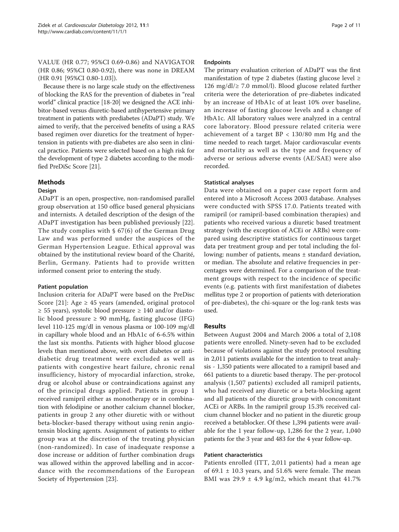VALUE (HR 0.77; 95%CI 0.69-0.86) and NAVIGATOR (HR 0.86; 95%CI 0.80-0.92), there was none in DREAM (HR 0.91 [95%CI 0.80-1.03]).

Because there is no large scale study on the effectiveness of blocking the RAS for the prevention of diabetes in "real world" clinical practice [\[18-20\]](#page-9-0) we designed the ACE inhibitor-based versus diuretic-based antihypertensive primary treatment in patients with prediabetes (ADaPT) study. We aimed to verify, that the perceived benefits of using a RAS based regimen over diuretics for the treatment of hypertension in patients with pre-diabetes are also seen in clinical practice. Patients were selected based on a high risk for the development of type 2 diabetes according to the modified PreDiSc Score [\[21\]](#page-9-0).

# Methods

# Design

ADaPT is an open, prospective, non-randomised parallel group observation at 150 office based general physicians and internists. A detailed description of the design of the ADaPT investigation has been published previously [\[22](#page-9-0)]. The study complies with § 67(6) of the German Drug Law and was performed under the auspices of the German Hypertension League. Ethical approval was obtained by the institutional review board of the Charité, Berlin, Germany. Patients had to provide written informed consent prior to entering the study.

# Patient population

Inclusion criteria for ADaPT were based on the PreDisc Score [[21\]](#page-9-0): Age  $\geq$  45 years (amended, original protocol  $\geq$  55 years), systolic blood pressure  $\geq$  140 and/or diastolic blood pressure ≥ 90 mmHg, fasting glucose (IFG) level 110-125 mg/dl in venous plasma or 100-109 mg/dl in capillary whole blood and an HbA1c of 6-6.5% within the last six months. Patients with higher blood glucose levels than mentioned above, with overt diabetes or antidiabetic drug treatment were excluded as well as patients with congestive heart failure, chronic renal insufficiency, history of myocardial infarction, stroke, drug or alcohol abuse or contraindications against any of the principal drugs applied. Patients in group 1 received ramipril either as monotherapy or in combination with felodipine or another calcium channel blocker, patients in group 2 any other diuretic with or without beta-blocker-based therapy without using renin angiotensin blocking agents. Assignment of patients to either group was at the discretion of the treating physician (non-randomized). In case of inadequate response a dose increase or addition of further combination drugs was allowed within the approved labelling and in accordance with the recommendations of the European Society of Hypertension [\[23\]](#page-9-0).

#### Endpoints

The primary evaluation criterion of ADaPT was the first manifestation of type 2 diabetes (fasting glucose level ≥ 126 mg/dl/≥ 7.0 mmol/l). Blood glucose related further criteria were the deterioration of pre-diabetes indicated by an increase of HbA1c of at least 10% over baseline, an increase of fasting glucose levels and a change of HbA1c. All laboratory values were analyzed in a central core laboratory. Blood pressure related criteria were achievement of a target  $BP < 130/80$  mm Hg and the time needed to reach target. Major cardiovascular events and mortality as well as the type and frequency of adverse or serious adverse events (AE/SAE) were also recorded.

# Statistical analyses

Data were obtained on a paper case report form and entered into a Microsoft Access 2003 database. Analyses were conducted with SPSS 17.0. Patients treated with ramipril (or ramipril-based combination therapies) and patients who received various a diuretic based treatment strategy (with the exception of ACEi or ARBs) were compared using descriptive statistics for continuous target data per treatment group and per total including the following: number of patients, means ± standard deviation, or median. The absolute and relative frequencies in percentages were determined. For a comparison of the treatment groups with respect to the incidence of specific events (e.g. patients with first manifestation of diabetes mellitus type 2 or proportion of patients with deterioration of pre-diabetes), the chi-square or the log-rank tests was used.

# Results

Between August 2004 and March 2006 a total of 2,108 patients were enrolled. Ninety-seven had to be excluded because of violations against the study protocol resulting in 2,011 patients available for the intention to treat analysis - 1,350 patients were allocated to a ramipril based and 661 patients to a diuretic based therapy. The per-protocol analysis (1,507 patients) excluded all ramipril patients, who had received any diuretic or a beta-blocking agent and all patients of the diuretic group with concomitant ACEi or ARBs. In the ramipril group 15.3% received calcium channel blocker and no patient in the diuretic group received a betablocker. Of these 1,394 patients were available for the 1 year follow-up, 1,286 for the 2 year, 1,040 patients for the 3 year and 483 for the 4 year follow-up.

# Patient characteristics

Patients enrolled (ITT, 2,011 patients) had a mean age of 69.1  $\pm$  10.3 years, and 51.6% were female. The mean BMI was  $29.9 \pm 4.9$  kg/m2, which meant that  $41.7\%$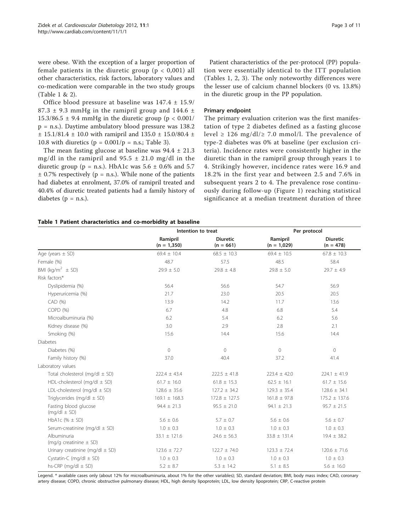were obese. With the exception of a larger proportion of female patients in the diuretic group ( $p < 0.001$ ) all other characteristics, risk factors, laboratory values and co-medication were comparable in the two study groups (Table 1 & [2](#page-3-0)).

Office blood pressure at baseline was 147.4 ± 15.9/ 87.3  $\pm$  9.3 mmHg in the ramipril group and 144.6  $\pm$ 15.3/86.5  $\pm$  9.4 mmHg in the diuretic group (p < 0.001/ p = n.s.). Daytime ambulatory blood pressure was 138.2  $± 15.1/81.4 ± 10.0$  with ramipril and  $135.0 ± 15.0/80.4 ±$ 10.8 with diuretics ( $p = 0.001/p = n.s.;$  Table [3\)](#page-3-0).

The mean fasting glucose at baseline was  $94.4 \pm 21.3$ mg/dl in the ramipril and  $95.5 \pm 21.0$  mg/dl in the diuretic group ( $p = n.s$ .). HbA1c was 5.6  $\pm$  0.6% and 5.7  $\pm$  0.7% respectively (p = n.s.). While none of the patients had diabetes at enrolment, 37.0% of ramipril treated and 40.4% of diuretic treated patients had a family history of diabetes ( $p = n.s.$ ).

Patient characteristics of the per-protocol (PP) population were essentially identical to the ITT population (Tables 1, [2](#page-3-0), [3](#page-3-0)). The only noteworthy differences were the lesser use of calcium channel blockers (0 vs. 13.8%) in the diuretic group in the PP population.

#### Primary endpoint

The primary evaluation criterion was the first manifestation of type 2 diabetes defined as a fasting glucose level  $\geq$  126 mg/dl/ $\geq$  7.0 mmol/l. The prevalence of type-2 diabetes was 0% at baseline (per exclusion criteria). Incidence rates were consistently higher in the diuretic than in the ramipril group through years 1 to 4. Strikingly however, incidence rates were 16.9 and 18.2% in the first year and between 2.5 and 7.6% in subsequent years 2 to 4. The prevalence rose continuously during follow-up (Figure [1](#page-4-0)) reaching statistical significance at a median treatment duration of three

|  |  |  | Table 1 Patient characteristics and co-morbidity at baseline |  |  |  |  |
|--|--|--|--------------------------------------------------------------|--|--|--|--|
|--|--|--|--------------------------------------------------------------|--|--|--|--|

|                                           | Intention to treat        |                                | Per protocol              |                                |
|-------------------------------------------|---------------------------|--------------------------------|---------------------------|--------------------------------|
|                                           | Ramipril<br>$(n = 1,350)$ | <b>Diuretic</b><br>$(n = 661)$ | Ramipril<br>$(n = 1,029)$ | <b>Diuretic</b><br>$(n = 478)$ |
| Age (years $\pm$ SD)                      | $69.4 \pm 10.4$           | $68.5 \pm 10.3$                | $69.4 \pm 10.5$           | $67.8 \pm 10.3$                |
| Female (%)                                | 48.7                      | 57.5                           | 48.5                      | 58.4                           |
| BMI ( $kg/m^2 \pm SD$ )                   | $29.9 \pm 5.0$            | $29.8 \pm 4.8$                 | $29.8 \pm 5.0$            | $29.7 \pm 4.9$                 |
| Risk factors*                             |                           |                                |                           |                                |
| Dyslipidemia (%)                          | 56.4                      | 56.6                           | 54.7                      | 56.9                           |
| Hyperuricemia (%)                         | 21.7                      | 23.0                           | 20.5                      | 20.5                           |
| CAD (%)                                   | 13.9                      | 14.2                           | 11.7                      | 13.6                           |
| COPD (%)                                  | 6.7                       | 4.8                            | 6.8                       | 5.4                            |
| Microalbuminuria (%)                      | 6.2                       | 5.4                            | 6.2                       | 5.6                            |
| Kidney disease (%)                        | 3.0                       | 2.9                            | 2.8                       | 2.1                            |
| Smoking (%)                               | 15.6                      | 14.4                           | 15.6                      | 14.4                           |
| <b>Diabetes</b>                           |                           |                                |                           |                                |
| Diabetes (%)                              | $\circ$                   | $\circ$                        | $\bigcirc$                | $\circ$                        |
| Family history (%)                        | 37.0                      | 40.4                           | 37.2                      | 41.4                           |
| Laboratory values                         |                           |                                |                           |                                |
| Total cholesterol (mg/dl $\pm$ SD)        | $222.4 \pm 43.4$          | $222.5 \pm 41.8$               | $223.4 \pm 42.0$          | $224.1 \pm 41.9$               |
| HDL-cholesterol (mg/dl $\pm$ SD)          | $61.7 \pm 16.0$           | $61.8 \pm 15.3$                | $62.5 \pm 16.1$           | $61.7 \pm 15.6$                |
| LDL-cholesterol (mg/dl $\pm$ SD)          | $128.6 \pm 35.6$          | $127.2 \pm 34.2$               | $129.3 \pm 35.4$          | $128.6 \pm 34.1$               |
| Triglycerides (mg/dl $\pm$ SD)            | $169.1 \pm 168.3$         | $172.8 \pm 127.5$              | $161.8 \pm 97.8$          | $175.2 \pm 137.6$              |
| Fasting blood glucose<br>$(mq/dl \pm SD)$ | $94.4 \pm 21.3$           | $95.5 \pm 21.0$                | $94.1 \pm 21.3$           | $95.7 \pm 21.5$                |
| HbA1c (% $\pm$ SD)                        | $5.6 \pm 0.6$             | $5.7 \pm 0.7$                  | $5.6 \pm 0.6$             | $5.6 \pm 0.7$                  |
| Serum-creatinine (mg/dl ± SD)             | $1.0 \pm 0.3$             | $1.0 \pm 0.3$                  | $1.0 \pm 0.3$             | $1.0 \pm 0.3$                  |
| Albuminuria<br>(mg/g creatinine $\pm$ SD) | $33.1 \pm 121.6$          | $24.6 \pm 56.3$                | $33.8 \pm 131.4$          | $19.4 \pm 38.2$                |
| Urinary creatinine (mg/dl $\pm$ SD)       | $123.6 \pm 72.7$          | $122.7 \pm 74.0$               | $123.3 \pm 72.4$          | $120.6 \pm 71.6$               |
| Cystatin-C (mg/dl $\pm$ SD)               | $1.0 \pm 0.3$             | $1.0 \pm 0.3$                  | $1.0 \pm 0.3$             | $1.0 \pm 0.3$                  |
| hs-CRP (mg/dl $\pm$ SD)                   | $5.2 \pm 8.7$             | $5.3 \pm 14.2$                 | $5.1 \pm 8.5$             | $5.6 \pm 16.0$                 |

Legend. \* available cases only (about 12% for microalbuminuria, about 1% for the other variables); SD, standard deviation; BMI, body mass index; CAD, coronary artery disease; COPD, chronic obstructive pulmonary disease; HDL, high density lipoprotein; LDL, low density lipoprotein; CRP, C-reactive protein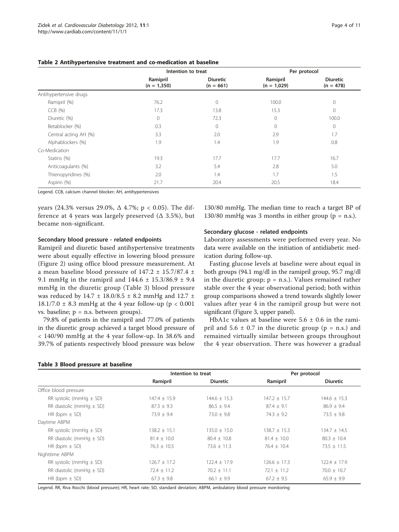|                        | Intention to treat        |                                | Per protocol              |                                |
|------------------------|---------------------------|--------------------------------|---------------------------|--------------------------------|
|                        | Ramipril<br>$(n = 1,350)$ | <b>Diuretic</b><br>$(n = 661)$ | Ramipril<br>$(n = 1,029)$ | <b>Diuretic</b><br>$(n = 478)$ |
| Antihypertensive drugs |                           |                                |                           |                                |
| Ramipril (%)           | 76.2                      | $\mathbf{0}$                   | 100.0                     | $\mathbf{0}$                   |
| $CCB$ $(%)$            | 17.3                      | 13.8                           | 15.3                      | $\mathbf{0}$                   |
| Diuretic (%)           | $\circ$                   | 72.3                           | $\Omega$                  | 100.0                          |
| Betablocker (%)        | 0.3                       | 0                              | 0                         | $\circ$                        |
| Central acting AH (%)  | 3.3                       | 2.0                            | 2.9                       | 1.7                            |
| Alphablockers (%)      | 1.9                       | 1.4                            | 1.9                       | 0.8                            |
| Co-Medication          |                           |                                |                           |                                |
| Statins (%)            | 19.3                      | 17.7                           | 17.7                      | 16.7                           |
| Anticoagulants (%)     | 3.2                       | 5.4                            | 2.8                       | 5.0                            |
| Thienopyridines (%)    | 2.0                       | 1.4                            | 1.7                       | 1.5                            |
| Aspirin (%)            | 21.7                      | 20.4                           | 20.5                      | 18.4                           |

#### <span id="page-3-0"></span>Table 2 Antihypertensive treatment and co-medication at baseline

Legend. CCB, calcium channel blocker; AH, antihypertensives

years (24.3% versus 29.0%,  $\Delta$  4.7%; p < 0.05). The difference at 4 years was largely preserved  $(Δ 3.5%), but$ became non-significant.

#### Secondary blood pressure - related endpoints

Ramipril and diuretic based antihypertensive treatments were about equally effective in lowering blood pressure (Figure [2\)](#page-4-0) using office blood pressure measurement. At a mean baseline blood pressure of 147.2 ± 15.7/87.4 ± 9.1 mmHg in the ramipril and  $144.6 \pm 15.3/86.9 \pm 9.4$ mmHg in the diuretic group (Table 3) blood pressure was reduced by  $14.7 \pm 18.0/8.5 \pm 8.2$  mmHg and  $12.7 \pm 18.0/8.5 \pm 8.2$ 18.1/7.0  $\pm$  8.3 mmHg at the 4 year follow-up (p < 0.001 vs. baseline; p = n.s. between groups).

79.8% of patients in the ramipril and 77.0% of patients in the diuretic group achieved a target blood pressure of < 140/90 mmHg at the 4 year follow-up. In 38.6% and 39.7% of patients respectively blood pressure was below

#### Table 3 Blood pressure at baseline

130/80 mmHg. The median time to reach a target BP of  $130/80$  mmHg was 3 months in either group ( $p = n.s.$ ).

#### Secondary glucose - related endpoints

Laboratory assessments were performed every year. No data were available on the initiation of antidiabetic medication during follow-up.

Fasting glucose levels at baseline were about equal in both groups (94.1 mg/dl in the ramipril group, 95.7 mg/dl in the diuretic group;  $p = n.s$ .). Values remained rather stable over the 4 year observational period; both within group comparisons showed a trend towards slightly lower values after year 4 in the ramipril group but were not significant (Figure [3,](#page-4-0) upper panel).

HbA1c values at baseline were  $5.6 \pm 0.6$  in the ramipril and  $5.6 \pm 0.7$  in the diuretic group (p = n.s.) and remained virtually similar between groups throughout the 4 year observation. There was however a gradual

|                              | Intention to treat |                  | Per protocol     |                  |
|------------------------------|--------------------|------------------|------------------|------------------|
|                              | Ramipril           | <b>Diuretic</b>  | Ramipril         | <b>Diuretic</b>  |
| Office blood pressure        |                    |                  |                  |                  |
| RR systolic (mmHg $\pm$ SD)  | $147.4 \pm 15.9$   | $144.6 \pm 15.3$ | $147.2 + 15.7$   | $144.6 \pm 15.3$ |
| RR diastolic (mmHg $\pm$ SD) | $87.3 \pm 9.3$     | $86.5 \pm 9.4$   | $87.4 \pm 9.1$   | $86.9 \pm 9.4$   |
| HR (bpm $\pm$ SD)            | $73.9 + 9.4$       | $73.0 + 9.8$     | $74.3 + 9.2$     | $73.5 + 9.8$     |
| Daytime ABPM                 |                    |                  |                  |                  |
| RR systolic (mmHg $\pm$ SD)  | $138.2 \pm 15.1$   | $135.0 \pm 15.0$ | $138.7 + 15.3$   | $134.7 \pm 14.5$ |
| RR diastolic (mmHg $\pm$ SD) | $81.4 \pm 10.0$    | $80.4 + 10.8$    | $81.4 \pm 10.0$  | $80.3 \pm 10.4$  |
| HR (bpm $\pm$ SD)            | $76.3 \pm 10.5$    | $73.6 \pm 11.3$  | $76.4 \pm 10.4$  | $73.5 \pm 11.5$  |
| Nighttime ABPM               |                    |                  |                  |                  |
| RR systolic (mmHg $\pm$ SD)  | $126.7 \pm 17.2$   | $122.4 \pm 17.9$ | $126.6 \pm 17.3$ | $122.4 \pm 17.9$ |
| RR diastolic (mmHg $\pm$ SD) | $72.4 \pm 11.2$    | $70.2 \pm 11.1$  | $72.1 \pm 11.2$  | $70.0 \pm 10.7$  |
| HR (bpm $\pm$ SD)            | $67.3 \pm 9.8$     | $66.1 \pm 9.9$   | $67.2 + 9.5$     | $65.9 \pm 9.9$   |

Legend. RR, Riva Rocchi (blood pressure); HR, heart rate; SD, standard deviation; ABPM, ambulatory blood pressure monitoring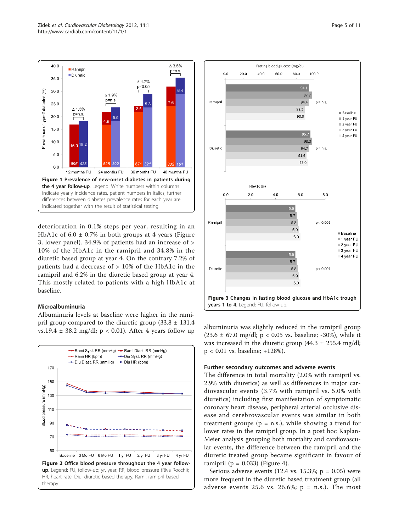<span id="page-4-0"></span>

deterioration in 0.1% steps per year, resulting in an HbA1c of  $6.0 \pm 0.7\%$  in both groups at 4 years (Figure 3, lower panel). 34.9% of patients had an increase of > 10% of the HbA1c in the ramipril and 34.8% in the diuretic based group at year 4. On the contrary 7.2% of patients had a decrease of > 10% of the HbA1c in the ramipril and 6.2% in the diuretic based group at year 4. This mostly related to patients with a high HbA1c at baseline.

#### Microalbuminuria

Albuminuria levels at baseline were higher in the ramipril group compared to the diuretic group  $(33.8 \pm 131.4)$ vs.19.4  $\pm$  38.2 mg/dl; p < 0.01). After 4 years follow up albuminuria was slightly reduced in the ramipril group vs.19.4  $\pm$  38.2 mg/dl; p < 0.01). After 4 years follow up





 $(23.6 \pm 67.0 \text{ mg/d}!)$ ; p < 0.05 vs. baseline; -30%), while it was increased in the diuretic group  $(44.3 \pm 255.4 \text{ mg/d}!)$ p < 0.01 vs. baseline; +128%).

# Further secondary outcomes and adverse events

The difference in total mortality (2.0% with ramipril vs. 2.9% with diuretics) as well as differences in major cardiovascular events (3.7% with ramipril vs. 5.0% with diuretics) including first manifestation of symptomatic coronary heart disease, peripheral arterial occlusive disease and cerebrovascular events was similar in both treatment groups ( $p = n.s$ .), while showing a trend for lower rates in the ramipril group. In a post hoc Kaplan-Meier analysis grouping both mortality and cardiovascular events, the difference between the ramipril and the diuretic treated group became significant in favour of ramipril ( $p = 0.033$ ) (Figure [4](#page-5-0)).

Serious adverse events (12.4 vs. 15.3%;  $p = 0.05$ ) were more frequent in the diuretic based treatment group (all adverse events 25.6 vs. 26.6%;  $p = n.s.$ ). The most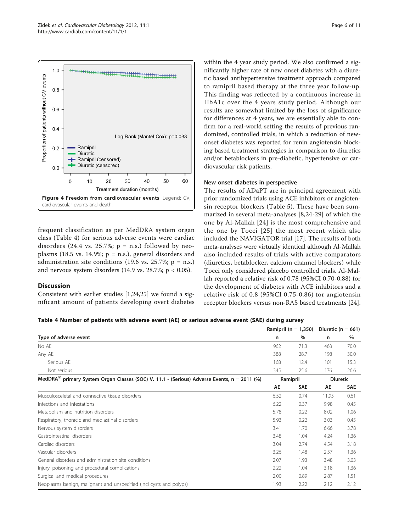<span id="page-5-0"></span>

frequent classification as per MedDRA system organ class (Table 4) for serious adverse events were cardiac disorders  $(24.4 \text{ vs. } 25.7\%; \text{ p = n.s.})$  followed by neoplasms (18.5 vs. 14.9%;  $p = n.s$ .), general disorders and administration site conditions (19.6 vs. 25.7%;  $p = n.s$ .) and nervous system disorders  $(14.9 \text{ vs. } 28.7\%; p < 0.05)$ .

#### **Discussion**

Consistent with earlier studies [[1,](#page-8-0)[24,25](#page-9-0)] we found a significant amount of patients developing overt diabetes within the 4 year study period. We also confirmed a significantly higher rate of new onset diabetes with a diuretic based antihypertensive treatment approach compared to ramipril based therapy at the three year follow-up. This finding was reflected by a continuous increase in HbA1c over the 4 years study period. Although our results are somewhat limited by the loss of significance for differences at 4 years, we are essentially able to confirm for a real-world setting the results of previous randomized, controlled trials, in which a reduction of newonset diabetes was reported for renin angiotensin blocking based treatment strategies in comparison to diuretics and/or betablockers in pre-diabetic, hypertensive or cardiovascular risk patients.

#### New onset diabetes in perspective

The results of ADaPT are in principal agreement with prior randomized trials using ACE inhibitors or angiotensin receptor blockers (Table [5\)](#page-6-0). These have been summarized in several meta-analyses [[8](#page-8-0)[,24](#page-9-0)-[29](#page-9-0)] of which the one by Al-Mallah [[24](#page-9-0)] is the most comprehensive and the one by Tocci [[25\]](#page-9-0) the most recent which also included the NAVIGATOR trial [\[17](#page-9-0)]. The results of both meta-analyses were virtually identical although Al-Mallah also included results of trials with active comparators (diuretics, betablocker, calcium channel blockers) while Tocci only considered placebo controlled trials. Al-Mallah reported a relative risk of 0.78 (95%CI 0.70-0.88) for the development of diabetes with ACE inhibitors and a relative risk of 0.8 (95%CI 0.75-0.86) for angiotensin receptor blockers versus non-RAS based treatments [\[24](#page-9-0)].

Table 4 Number of patients with adverse event (AE) or serious adverse event (SAE) during survey

|                                                                                                         |      | Ramipril ( $n = 1,350$ ) | Diuretic ( $n = 661$ ) |                 |
|---------------------------------------------------------------------------------------------------------|------|--------------------------|------------------------|-----------------|
| Type of adverse event                                                                                   | n    | %                        | n                      | %               |
| No AE                                                                                                   | 962  | 71.3                     | 463                    | 70.0            |
| Any AE                                                                                                  | 388  | 28.7                     | 198                    | 30.0            |
| Serious AE                                                                                              | 168  | 12.4                     | 101                    | 15.3            |
| Not serious                                                                                             | 345  | 25.6                     | 176                    | 26.6            |
| MedDRA <sup>®</sup> primary System Organ Classes (SOC) V. 11.1 - (Serious) Adverse Events, n = 2011 (%) |      | Ramipril                 |                        | <b>Diuretic</b> |
|                                                                                                         | AE   | <b>SAE</b>               | AE                     | <b>SAE</b>      |
| Musculosceletal and connective tissue disorders                                                         | 6.52 | 0.74                     | 11.95                  | 0.61            |
| Infections and infestations                                                                             | 6.22 | 0.37                     | 9.98                   | 0.45            |
| Metabolism and nutrition disorders                                                                      | 5.78 | 0.22                     | 8.02                   | 1.06            |
| Respiratory, thoracic and mediastinal disorders                                                         | 5.93 | 0.22                     | 3.03                   | 0.45            |
| Nervous system disorders                                                                                | 3.41 | 1.70                     | 6.66                   | 3.78            |
| Gastrointestinal disorders                                                                              | 3.48 | 1.04                     | 4.24                   | 1.36            |
| Cardiac disorders                                                                                       | 3.04 | 2.74                     | 4.54                   | 3.18            |
| Vascular disorders                                                                                      | 3.26 | 1.48                     | 2.57                   | 1.36            |
| General disorders and administration site conditions                                                    | 2.07 | 1.93                     | 3.48                   | 3.03            |
| Injury, poisoning and procedural complications                                                          | 2.22 | 1.04                     | 3.18                   | 1.36            |
| Surgical and medical procedures                                                                         | 2.00 | 0.89                     | 2.87                   | 1.51            |
| Neoplasms benign, malignant and unspecified (incl cysts and polyps)                                     | 1.93 | 2.22                     | 2.12                   | 2.12            |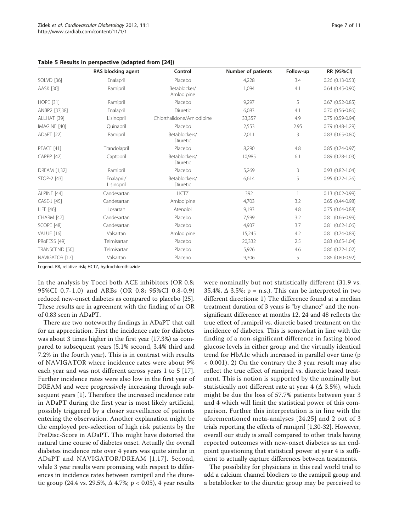|                     | RAS blocking agent       | Control                    | Number of patients | Follow-up | RR (95%CI)             |
|---------------------|--------------------------|----------------------------|--------------------|-----------|------------------------|
| <b>SOLVD [36]</b>   | Enalapril                | Placebo                    | 4,228              | 3.4       | $0.26$ $(0.13 - 0.53)$ |
| <b>AASK [30]</b>    | Ramipril                 | Betablocker/<br>Amlodipine | 1,094              | 4.1       | $0.64$ $(0.45 - 0.90)$ |
| <b>HOPE</b> [31]    | Ramipril                 | Placebo                    | 9,297              | 5         | $0.67$ $(0.52 - 0.85)$ |
| ANBP2 [37,38]       | Enalapril                | Diuretic                   | 6,083              | 4.1       | $0.70(0.56 - 0.86)$    |
| ALLHAT [39]         | Lisinopril               | Chlorthalidone/Amlodipine  | 33,357             | 4.9       | $0.75(0.59-0.94)$      |
| IMAGINE [40]        | Quinapril                | Placebo                    | 2,553              | 2.95      | $0.79(0.48-1.29)$      |
| ADaPT [22]          | Ramipril                 | Betablockers/<br>Diuretic  | 2,011              | 3         | $0.83$ $(0.65 - 0.80)$ |
| PEACE [41]          | Trandolapril             | Placebo                    | 8,290              | 4.8       | $0.85(0.74 - 0.97)$    |
| <b>CAPPP</b> [42]   | Captopril                | Betablockers/<br>Diuretic  | 10,985             | 6.1       | $0.89(0.78-1.03)$      |
| <b>DREAM [1,32]</b> | Ramipril                 | Placebo                    | 5,269              | 3         | $0.93(0.82 - 1.04)$    |
| STOP-2 [43]         | Enalapril/<br>Lisinopril | Betablockers/<br>Diuretic  | 6,614              | 5         | $0.95(0.72 - 1.26)$    |
| ALPINE [44]         | Candesartan              | <b>HCTZ</b>                | 392                |           | $0.13(0.02 - 0.99)$    |
| CASE-J [45]         | Candesartan              | Amlodipine                 | 4,703              | 3.2       | $0.65(0.44 - 0.98)$    |
| LIFE [46]           | Losartan                 | Atenolol                   | 9,193              | 4.8       | $0.75(0.64 - 0.88)$    |
| CHARM [47]          | Candesartan              | Placebo                    | 7,599              | 3.2       | $0.81$ $(0.66 - 0.99)$ |
| SCOPE [48]          | Candesartan              | Placebo                    | 4,937              | 3.7       | $0.81$ $(0.62 - 1.06)$ |
| VALUE [16]          | Valsartan                | Amlodipine                 | 15,245             | 4.2       | $0.81$ $(0.74 - 0.89)$ |
| PRoFESS [49]        | Telmisartan              | Placebo                    | 20,332             | 2.5       | $0.83$ $(0.65 - 1.04)$ |
| TRANSCEND [50]      | Telmisartan              | Placebo                    | 5,926              | 4.6       | $0.86$ $(0.72 - 1.02)$ |
| NAVIGATOR [17]      | Valsartan                | Placeno                    | 9,306              | 5         | $0.86$ $(0.80 - 0.92)$ |

<span id="page-6-0"></span>Table 5 Results in perspective (adapted from [[24\]](#page-9-0))

Legend. RR, relative risk; HCTZ, hydrochlorothiazide

In the analysis by Tocci both ACE inhibitors (OR 0.8; 95%CI 0.7-1.0) and ARBs (OR 0.8; 95%CI 0.8-0.9) reduced new-onset diabetes as compared to placebo [\[25](#page-9-0)]. These results are in agreement with the finding of an OR of 0.83 seen in ADaPT.

There are two noteworthy findings in ADaPT that call for an appreciation. First the incidence rate for diabetes was about 3 times higher in the first year (17.3%) as compared to subsequent years (5.1% second, 3.4% third and 7.2% in the fourth year). This is in contrast with results of NAVIGATOR where incidence rates were about 9% each year and was not different across years 1 to 5 [[17](#page-9-0)]. Further incidence rates were also low in the first year of DREAM and were progressively increasing through subsequent years [\[1](#page-8-0)]. Therefore the increased incidence rate in ADaPT during the first year is most likely artificial, possibly triggered by a closer surveillance of patients entering the observation. Another explanation might be the employed pre-selection of high risk patients by the PreDisc-Score in ADaPT. This might have distorted the natural time course of diabetes onset. Actually the overall diabetes incidence rate over 4 years was quite similar in ADaPT and NAVIGATOR/DREAM [[1](#page-8-0),[17](#page-9-0)]. Second, while 3 year results were promising with respect to differences in incidence rates between ramipril and the diuretic group (24.4 vs. 29.5%, Δ 4.7%; p < 0.05), 4 year results

were nominally but not statistically different (31.9 vs. 35.4%,  $\Delta$  3.5%; p = n.s.). This can be interpreted in two different directions: 1) The difference found at a median treatment duration of 3 years is "by chance" and the nonsignificant difference at months 12, 24 and 48 reflects the true effect of ramipril vs. diuretic based treatment on the incidence of diabetes. This is somewhat in line with the finding of a non-significant difference in fasting blood glucose levels in either group and the virtually identical trend for HbA1c which increased in parallel over time (p < 0.001). 2) On the contrary the 3 year result may also reflect the true effect of ramipril vs. diuretic based treatment. This is notion is supported by the nominally but statistically not different rate at year  $4$  ( $\Delta$  3.5%), which might be due the loss of 57.7% patients between year 3 and 4 which will limit the statistical power of this comparison. Further this interpretation is in line with the aforementioned meta-analyses [[24](#page-9-0),[25](#page-9-0)] and 2 out of 3 trials reporting the effects of ramipril [[1,](#page-8-0)[30-32\]](#page-9-0). However, overall our study is small compared to other trials having reported outcomes with new-onset diabetes as an endpoint questioning that statistical power at year 4 is sufficient to actually capture differences between treatments.

The possibility for physicians in this real world trial to add a calcium channel blockers to the ramipril group and a betablocker to the diuretic group may be perceived to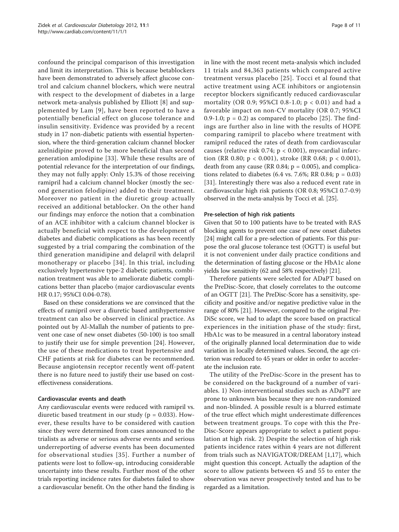confound the principal comparison of this investigation and limit its interpretation. This is because betablockers have been demonstrated to adversely affect glucose control and calcium channel blockers, which were neutral with respect to the development of diabetes in a large network meta-analysis published by Elliott [[8\]](#page-8-0) and supplemented by Lam [[9\]](#page-8-0), have been reported to have a potentially beneficial effect on glucose tolerance and insulin sensitivity. Evidence was provided by a recent study in 17 non-diabetic patients with essential hypertension, where the third-generation calcium channel blocker azelnidipine proved to be more beneficial than second generation amlodipine [\[33\]](#page-9-0). While these results are of potential relevance for the interpretation of our findings, they may not fully apply: Only 15.3% of those receiving ramipril had a calcium channel blocker (mostly the second generation felodipine) added to their treatment. Moreover no patient in the diuretic group actually received an additional betablocker. On the other hand our findings may enforce the notion that a combination of an ACE inhibitor with a calcium channel blocker is actually beneficial with respect to the development of diabetes and diabetic complications as has been recently suggested by a trial comparing the combination of the third generation manidipine and delapril with delapril monotherapy or placebo [\[34](#page-9-0)]. In this trial, including exclusively hypertensive type-2 diabetic patients, combination treatment was able to ameliorate diabetic complications better than placebo (major cardiovascular events HR 0.17; 95%CI 0.04-0.78).

Based on these considerations we are convinced that the effects of ramipril over a diuretic based antihypertensive treatment can also be observed in clinical practice. As pointed out by Al-Mallah the number of patients to prevent one case of new onset diabetes (50-100) is too small to justify their use for simple prevention [[24\]](#page-9-0). However, the use of these medications to treat hypertensive and CHF patients at risk for diabetes can be recommended. Because angiotensin receptor recently went off-patent there is no future need to justify their use based on costeffectiveness considerations.

# Cardiovascular events and death

Any cardiovascular events were reduced with ramipril vs. diuretic based treatment in our study ( $p = 0.033$ ). However, these results have to be considered with caution since they were determined from cases announced to the trialists as adverse or serious adverse events and serious underreporting of adverse events has been documented for observational studies [[35](#page-9-0)]. Further a number of patients were lost to follow-up, introducing considerable uncertainty into these results. Further most of the other trials reporting incidence rates for diabetes failed to show a cardiovascular benefit. On the other hand the finding is in line with the most recent meta-analysis which included 11 trials and 84,363 patients which compared active treatment versus placebo [[25\]](#page-9-0). Tocci et al found that active treatment using ACE inhibitors or angiotensin receptor blockers significantly reduced cardiovascular mortality (OR 0.9; 95%CI 0.8-1.0; p < 0.01) and had a favorable impact on non-CV mortality (OR 0.7; 95%CI 0.9-1.0;  $p = 0.2$ ) as compared to placebo [[25](#page-9-0)]. The findings are further also in line with the results of HOPE comparing ramipril to placebo where treatment with ramipril reduced the rates of death from cardiovascular causes (relative risk 0.74; p < 0.001), myocardial infarction (RR 0.80; p < 0.001), stroke (RR 0.68; p < 0.001), death from any cause (RR 0.84;  $p = 0.005$ ), and complications related to diabetes  $(6.4 \text{ vs. } 7.6\%; \text{ RR } 0.84; \text{ p } = 0.03)$ [[31\]](#page-9-0). Interestingly there was also a reduced event rate in cardiovascular high risk patients (OR 0.8; 95%CI 0.7-0.9) observed in the meta-analysis by Tocci et al. [\[25\]](#page-9-0).

#### Pre-selection of high risk patients

Given that 50 to 100 patients have to be treated with RAS blocking agents to prevent one case of new onset diabetes [[24](#page-9-0)] might call for a pre-selection of patients. For this purpose the oral glucose tolerance test (OGTT) is useful but it is not convenient under daily practice conditions and the determination of fasting glucose or the HbA1c alone yields low sensitivity (62 and 58% respectively) [[21](#page-9-0)].

Therefore patients were selected for ADaPT based on the PreDisc-Score, that closely correlates to the outcome of an OGTT [[21](#page-9-0)]. The PreDisc-Score has a sensitivity, specificity and positive and/or negative predictive value in the range of 80% [\[21\]](#page-9-0). However, compared to the original Pre-DiSc score, we had to adapt the score based on practical experiences in the initiation phase of the study: first, HbA1c was to be measured in a central laboratory instead of the originally planned local determination due to wide variation in locally determined values. Second, the age criterion was reduced to 45 years or older in order to accelerate the inclusion rate.

The utility of the PreDisc-Score in the present has to be considered on the background of a number of variables. 1) Non-interventional studies such as ADaPT are prone to unknown bias because they are non-randomized and non-blinded. A possible result is a blurred estimate of the true effect which might underestimate differences between treatment groups. To cope with this the Pre-Disc-Score appears appropriate to select a patient population at high risk. 2) Despite the selection of high risk patients incidence rates within 4 years are not different from trials such as NAVIGATOR/DREAM [\[1](#page-8-0),[17\]](#page-9-0), which might question this concept. Actually the adaption of the score to allow patients between 45 and 55 to enter the observation was never prospectively tested and has to be regarded as a limitation.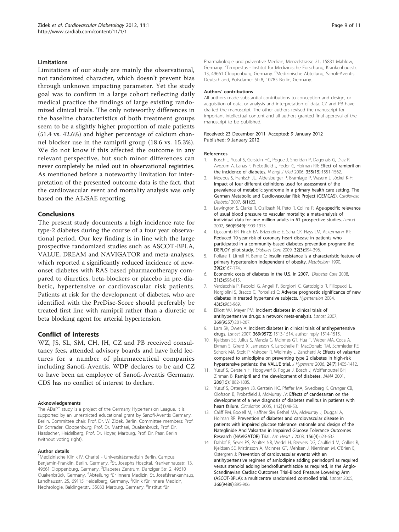#### <span id="page-8-0"></span>Limitations

Limitations of our study are mainly the observational, not randomized character, which doesn't prevent bias through unknown impacting parameter. Yet the study goal was to confirm in a large cohort reflecting daily medical practice the findings of large existing randomized clinical trials. The only noteworthy differences in the baseline characteristics of both treatment groups seem to be a slightly higher proportion of male patients (51.4 vs. 42.6%) and higher percentage of calcium channel blocker use in the ramipril group (18.6 vs. 15.3%). We do not know if this affected the outcome in any relevant perspective, but such minor differences can never completely be ruled out in observational registries. As mentioned before a noteworthy limitation for interpretation of the presented outcome data is the fact, that the cardiovascular event and mortality analysis was only based on the AE/SAE reporting.

# Conclusions

The present study documents a high incidence rate for type-2 diabetes during the course of a four year observational period. Our key finding is in line with the large prospective randomized studies such as ASCOT-BPLA, VALUE, DREAM and NAVIGATOR and meta-analyses, which reported a significantly reduced incidence of newonset diabetes with RAS based pharmacotherapy compared to diuretics, beta-blockers or placebo in pre-diabetic, hypertensive or cardiovascular risk patients. Patients at risk for the development of diabetes, who are identified with the PreDisc-Score should preferably be treated first line with ramipril rather than a diuretic or beta blocking agent for arterial hypertension.

#### Conflict of interests

WZ, JS, SL, SM, CH, JH, CZ and PB received consultancy fees, attended advisory boards and have held lectures for a number of pharmaceutical companies including Sanofi-Aventis. WDP declares to be and CZ to have been an employee of Sanofi-Aventis Germany. CDS has no conflict of interest to declare.

#### Acknowledgements

The ADaPT study is a project of the Germany Hypertension League. It is supported by an unrestricted educational grant by Sanofi-Aventis Germany, Berlin. Committee chair: Prof. Dr. W. Zidek, Berlin. Committee members: Prof. Dr. Schrader, Cloppenburg, Prof. Dr. Matthaei, Quakenbrück, Prof. Dr. Hasslacher, Heidelberg, Prof. Dr. Hoyer, Marburg, Prof. Dr. Paar, Berlin (without voting right).

#### Author details

<sup>1</sup>Medizinische Klinik IV, Charité - Universitätsmedizin Berlin, Campus Benjamin-Franklin, Berlin, Germany. <sup>2</sup>St. Josephs Hospital, Krankenhausstr. 13, 49661 Cloppenburg, Germany. <sup>3</sup>Diabetes Zentrum, Danziger Str. 2, 49610 Quakenbrück, Germany. <sup>4</sup>Abteilung für Innere Medizin, St. Josefskrankenhaus, Landhausstr. 25, 69115 Heidelberg, Germany. <sup>5</sup>Klinik für Innere Medizin, Nephrologie, Baldingerstr., 35033 Marburg, Germany. <sup>6</sup>Institut für

Pharmakologie und präventive Medizin, Menzelstrasse 21, 15831 Mahlow, Germany. <sup>7</sup>Tempestas - Institut für Medizinische Forschung, Krankenhausstr. 13, 49661 Cloppenburg, Germany. <sup>8</sup>Medizinische Abteilung, Sanofi-Aventis Deutschland, Potsdamer Str.8, 10785 Berlin, Germany.

#### Authors' contributions

All authors made substantial contributions to conception and design, or acquisition of data, or analysis and interpretation of data. CZ and PB have drafted the manuscript. The other authors revised the manuscript for important intellectual content and all authors granted final approval of the manuscript to be published.

#### Received: 23 December 2011 Accepted: 9 January 2012 Published: 9 January 2012

#### References

- 1. Bosch J, Yusuf S, Gerstein HC, Pogue J, Sheridan P, Dagenais G, Diaz R, Avezum A, Lanas F, Probstfield J, Fodor G, Holman RR: [Effect of ramipril on](http://www.ncbi.nlm.nih.gov/pubmed/16980380?dopt=Abstract) [the incidence of diabetes.](http://www.ncbi.nlm.nih.gov/pubmed/16980380?dopt=Abstract) N Engl J Med 2006, 355(15):1551-1562.
- 2. Moebus S, Hanisch JU, Aidelsburger P, Bramlage P, Wasem J, Jöckel K-H: [Impact of four different definitions used for assessment of the](http://www.ncbi.nlm.nih.gov/pubmed/17822558?dopt=Abstract) [prevalence of metabolic syndrome in a primary health care setting. The](http://www.ncbi.nlm.nih.gov/pubmed/17822558?dopt=Abstract) [German Metabolic and Cardiovascular Risk Project \(GEMCAS\).](http://www.ncbi.nlm.nih.gov/pubmed/17822558?dopt=Abstract) Cardiovasc Diabetol 2007, 6(1):22.
- 3. Lewington S, Clarke R, Qizilbash N, Peto R, Collins R: [Age-specific relevance](http://www.ncbi.nlm.nih.gov/pubmed/12493255?dopt=Abstract) [of usual blood pressure to vascular mortality: a meta-analysis of](http://www.ncbi.nlm.nih.gov/pubmed/12493255?dopt=Abstract) [individual data for one million adults in 61 prospective studies.](http://www.ncbi.nlm.nih.gov/pubmed/12493255?dopt=Abstract) Lancet 2002, 360(9349):1903-1913.
- 4. Lipscomb ER, Finch EA, Brizendine E, Saha CK, Hays LM, Ackermann RT: [Reduced 10-year risk of coronary heart disease in patients who](http://www.ncbi.nlm.nih.gov/pubmed/19106377?dopt=Abstract) [participated in a community-based diabetes prevention program: the](http://www.ncbi.nlm.nih.gov/pubmed/19106377?dopt=Abstract) [DEPLOY pilot study.](http://www.ncbi.nlm.nih.gov/pubmed/19106377?dopt=Abstract) Diabetes Care 2009, 32(3):394-396.
- 5. Pollare T, Lithell H, Berne C: [Insulin resistance is a characteristic feature of](http://www.ncbi.nlm.nih.gov/pubmed/2405235?dopt=Abstract) [primary hypertension independent of obesity.](http://www.ncbi.nlm.nih.gov/pubmed/2405235?dopt=Abstract) Metabolism 1990, 39(2):167-174.
- 6. Economic costs of diabetes in the U.S. In 2007. Diabetes Care 2008, 31(3):596-615.
- 7. Verdecchia P, Reboldi G, Angeli F, Borgioni C, Gattobigio R, Filippucci L, Norgiolini S, Bracco C, Porcellati C: [Adverse prognostic significance of new](http://www.ncbi.nlm.nih.gov/pubmed/15037557?dopt=Abstract) [diabetes in treated hypertensive subjects.](http://www.ncbi.nlm.nih.gov/pubmed/15037557?dopt=Abstract) Hypertension 2004, 43(5):963-969.
- 8. Elliott WJ, Meyer PM: [Incident diabetes in clinical trials of](http://www.ncbi.nlm.nih.gov/pubmed/17240286?dopt=Abstract) [antihypertensive drugs: a network meta-analysis.](http://www.ncbi.nlm.nih.gov/pubmed/17240286?dopt=Abstract) Lancet 2007, 369(9557):201-207.
- 9. Lam SK, Owen A: [Incident diabetes in clinical trials of antihypertensive](http://www.ncbi.nlm.nih.gov/pubmed/17482973?dopt=Abstract) [drugs.](http://www.ncbi.nlm.nih.gov/pubmed/17482973?dopt=Abstract) Lancet 2007, 369(9572):1513-1514, author reply 1514-1515.
- 10. Kjeldsen SE, Julius S, Mancia G, McInnes GT, Hua T, Weber MA, Coca A, Ekman S, Girerd X, Jamerson K, Larochelle P, MacDonald TM, Schmieder RE, Schork MA, Stolt P, Viskoper R, Widimsky J, Zanchetti A: [Effects of valsartan](http://www.ncbi.nlm.nih.gov/pubmed/16794491?dopt=Abstract) [compared to amlodipine on preventing type 2 diabetes in high-risk](http://www.ncbi.nlm.nih.gov/pubmed/16794491?dopt=Abstract) [hypertensive patients: the VALUE trial.](http://www.ncbi.nlm.nih.gov/pubmed/16794491?dopt=Abstract) J Hypertens 2006, 24(7):1405-1412.
- 11. Yusuf S, Gerstein H, Hoogwerf B, Pogue J, Bosch J, Wolffenbuttel BH, Zinman B: [Ramipril and the development of diabetes.](http://www.ncbi.nlm.nih.gov/pubmed/11597291?dopt=Abstract) JAMA 2001, 286(15):1882-1885.
- 12. Yusuf S, Ostergren JB, Gerstein HC, Pfeffer MA, Swedberg K, Granger CB, Olofsson B, Probstfield J, McMurray JV: [Effects of candesartan on the](http://www.ncbi.nlm.nih.gov/pubmed/15983242?dopt=Abstract) [development of a new diagnosis of diabetes mellitus in patients with](http://www.ncbi.nlm.nih.gov/pubmed/15983242?dopt=Abstract) [heart failure.](http://www.ncbi.nlm.nih.gov/pubmed/15983242?dopt=Abstract) Circulation 2005, 112(1):48-53.
- 13. Califf RM, Boolell M, Haffner SM, Bethel MA, McMurray J, Duggal A, Holman RR: [Prevention of diabetes and cardiovascular disease in](http://www.ncbi.nlm.nih.gov/pubmed/18946890?dopt=Abstract) [patients with impaired glucose tolerance: rationale and design of the](http://www.ncbi.nlm.nih.gov/pubmed/18946890?dopt=Abstract) [Nateglinide And Valsartan in Impaired Glucose Tolerance Outcomes](http://www.ncbi.nlm.nih.gov/pubmed/18946890?dopt=Abstract) [Research \(NAVIGATOR\) Trial.](http://www.ncbi.nlm.nih.gov/pubmed/18946890?dopt=Abstract) Am Heart J 2008, 156(4):623-632.
- 14. Dahlof B, Sever PS, Poulter NR, Wedel H, Beevers DG, Caulfield M, Collins R, Kjeldsen SE, Kristinsson A, McInnes GT, Mehlsen J, Nieminen M, O'Brien E, Ostergren J: [Prevention of cardiovascular events with an](http://www.ncbi.nlm.nih.gov/pubmed/16154016?dopt=Abstract) [antihypertensive regimen of amlodipine adding perindopril as required](http://www.ncbi.nlm.nih.gov/pubmed/16154016?dopt=Abstract) [versus atenolol adding bendroflumethiazide as required, in the Anglo-](http://www.ncbi.nlm.nih.gov/pubmed/16154016?dopt=Abstract)[Scandinavian Cardiac Outcomes Trial-Blood Pressure Lowering Arm](http://www.ncbi.nlm.nih.gov/pubmed/16154016?dopt=Abstract) [\(ASCOT-BPLA\): a multicentre randomised controlled trial.](http://www.ncbi.nlm.nih.gov/pubmed/16154016?dopt=Abstract) Lancet 2005, 366(9489):895-906.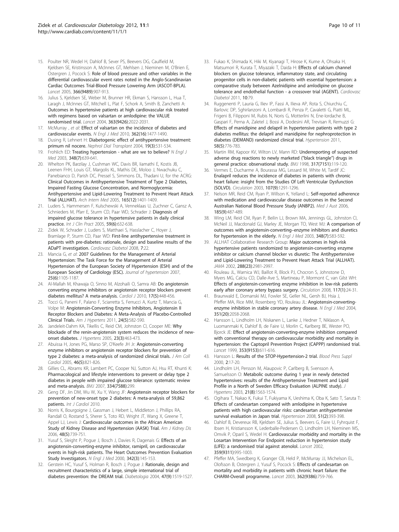- <span id="page-9-0"></span>15. Poulter NR, Wedel H, Dahlof B, Sever PS, Beevers DG, Caulfield M, Kjeldsen SE, Kristinsson A, McInnes GT, Mehlsen J, Nieminen M, O'Brien E, Ostergren J, Pocock S: [Role of blood pressure and other variables in the](http://www.ncbi.nlm.nih.gov/pubmed/16154017?dopt=Abstract) [differential cardiovascular event rates noted in the Anglo-Scandinavian](http://www.ncbi.nlm.nih.gov/pubmed/16154017?dopt=Abstract) [Cardiac Outcomes Trial-Blood Pressure Lowering Arm \(ASCOT-BPLA\).](http://www.ncbi.nlm.nih.gov/pubmed/16154017?dopt=Abstract) Lancet 2005, 366(9489):907-913.
- 16. Julius S, Kjeldsen SE, Weber M, Brunner HR, Ekman S, Hansson L, Hua T, Laragh J, McInnes GT, Mitchell L, Plat F, Schork A, Smith B, Zanchetti A: [Outcomes in hypertensive patients at high cardiovascular risk treated](http://www.ncbi.nlm.nih.gov/pubmed/15207952?dopt=Abstract) [with regimens based on valsartan or amlodipine: the VALUE](http://www.ncbi.nlm.nih.gov/pubmed/15207952?dopt=Abstract) [randomised trial.](http://www.ncbi.nlm.nih.gov/pubmed/15207952?dopt=Abstract) Lancet 2004, 363(9426):2022-2031.
- 17. McMurray , et al: [Effect of valsartan on the incidence of diabetes and](http://www.ncbi.nlm.nih.gov/pubmed/20228403?dopt=Abstract) [cardiovascular events.](http://www.ncbi.nlm.nih.gov/pubmed/20228403?dopt=Abstract) N Engl J Med 2010, 362(16):1477-1490.
- 18. Dusing R, Lehnert H: [Diabetogenic effect of antihypertensive treatment:](http://www.ncbi.nlm.nih.gov/pubmed/14767003?dopt=Abstract) [primum nil nocere.](http://www.ncbi.nlm.nih.gov/pubmed/14767003?dopt=Abstract) Nephrol Dial Transplant 2004, 19(3):531-534.
- 19. Frohlich ED: [Treating hypertension what are we to believe?](http://www.ncbi.nlm.nih.gov/pubmed/12584373?dopt=Abstract) N Engl J Med 2003, 348(7):639-641.
- 20. Whelton PK, Barzilay J, Cushman WC, Davis BR, Iiamathi E, Kostis JB, Leenen FHH, Louis GT, Margolis KL, Mathis DE, Moloo J, Nwachuku C, Panebianco D, Parish DC, Pressel S, Simmons DL, Thadani U, for the ACRG: [Clinical Outcomes in Antihypertensive Treatment of Type 2 Diabetes,](http://www.ncbi.nlm.nih.gov/pubmed/15983290?dopt=Abstract) [Impaired Fasting Glucose Concentration, and Normoglycemia:](http://www.ncbi.nlm.nih.gov/pubmed/15983290?dopt=Abstract) [Antihypertensive and Lipid-Lowering Treatment to Prevent Heart Attack](http://www.ncbi.nlm.nih.gov/pubmed/15983290?dopt=Abstract) [Trial \(ALLHAT\).](http://www.ncbi.nlm.nih.gov/pubmed/15983290?dopt=Abstract) Arch Intern Med 2005, 165(12):1401-1409.
- 21. Luders S, Hammersen F, Kulschewski A, Venneklaas U, Zuchner C, Gansz A, Schnieders M, Pfarr E, Sturm CD, Paar WD, Schrader J: [Diagnosis of](http://www.ncbi.nlm.nih.gov/pubmed/15924589?dopt=Abstract) [impaired glucose tolerance in hypertensive patients in daily clinical](http://www.ncbi.nlm.nih.gov/pubmed/15924589?dopt=Abstract) [practice.](http://www.ncbi.nlm.nih.gov/pubmed/15924589?dopt=Abstract) Int J Clin Pract 2005, 59(6):632-638.
- 22. Zidek W, Schrader J, Luders S, Matthaei S, Hasslacher C, Hoyer J, Bramlage P, Sturm CD, Paar WD: [First-line antihypertensive treatment in](http://www.ncbi.nlm.nih.gov/pubmed/18652658?dopt=Abstract) [patients with pre-diabetes: rationale, design and baseline results of the](http://www.ncbi.nlm.nih.gov/pubmed/18652658?dopt=Abstract) [ADaPT investigation.](http://www.ncbi.nlm.nih.gov/pubmed/18652658?dopt=Abstract) Cardiovasc Diabetol 2008, 7:22.
- 23. Mancia G, et al: [2007 Guidelines for the Management of Arterial](http://www.ncbi.nlm.nih.gov/pubmed/17563527?dopt=Abstract) [Hypertension: The Task Force for the Management of Arterial](http://www.ncbi.nlm.nih.gov/pubmed/17563527?dopt=Abstract) [Hypertension of the European Society of Hypertension \(ESH\) and of the](http://www.ncbi.nlm.nih.gov/pubmed/17563527?dopt=Abstract) [European Society of Cardiology \(ESC\).](http://www.ncbi.nlm.nih.gov/pubmed/17563527?dopt=Abstract) Journal of hypertension 2007, 25(6):1105-1187.
- 24. Al-Mallah M, Khawaja O, Sinno M, Alzohaili O, Samra AB: [Do angiotensin](http://www.ncbi.nlm.nih.gov/pubmed/20865674?dopt=Abstract) [converting enzyme inhibitors or angiotensin receptor blockers prevent](http://www.ncbi.nlm.nih.gov/pubmed/20865674?dopt=Abstract) [diabetes mellitus? A meta-analysis.](http://www.ncbi.nlm.nih.gov/pubmed/20865674?dopt=Abstract) Cardiol J 2010, 17(5):448-456.
- 25. Tocci G, Paneni F, Palano F, Sciarretta S, Ferrucci A, Kurtz T, Mancia G, Volpe M: [Angiotensin-Converting Enzyme Inhibitors, Angiotensin II](http://www.ncbi.nlm.nih.gov/pubmed/21331058?dopt=Abstract) [Receptor Blockers and Diabetes: A Meta-Analysis of Placebo-Controlled](http://www.ncbi.nlm.nih.gov/pubmed/21331058?dopt=Abstract) [Clinical Trials.](http://www.ncbi.nlm.nih.gov/pubmed/21331058?dopt=Abstract) Am J Hypertens 2011, 24(5):582-590.
- 26. Jandeleit-Dahm KA, Tikellis C, Reid CM, Johnston CI, Cooper ME: [Why](http://www.ncbi.nlm.nih.gov/pubmed/15716683?dopt=Abstract) [blockade of the renin-angiotensin system reduces the incidence of new](http://www.ncbi.nlm.nih.gov/pubmed/15716683?dopt=Abstract)[onset diabetes.](http://www.ncbi.nlm.nih.gov/pubmed/15716683?dopt=Abstract) J Hypertens 2005, 23(3):463-473.
- 27. Abuissa H, Jones PG, Marso SP, O'Keefe JH Jr: [Angiotensin-converting](http://www.ncbi.nlm.nih.gov/pubmed/16139131?dopt=Abstract) [enzyme inhibitors or angiotensin receptor blockers for prevention of](http://www.ncbi.nlm.nih.gov/pubmed/16139131?dopt=Abstract) [type 2 diabetes: a meta-analysis of randomized clinical trials.](http://www.ncbi.nlm.nih.gov/pubmed/16139131?dopt=Abstract) J Am Coll Cardiol 2005, 46(5):821-826.
- 28. Gillies CL, Abrams KR, Lambert PC, Cooper NJ, Sutton AJ, Hsu RT, Khunti K: [Pharmacological and lifestyle interventions to prevent or delay type 2](http://www.ncbi.nlm.nih.gov/pubmed/17237299?dopt=Abstract) [diabetes in people with impaired glucose tolerance: systematic review](http://www.ncbi.nlm.nih.gov/pubmed/17237299?dopt=Abstract) [and meta-analysis.](http://www.ncbi.nlm.nih.gov/pubmed/17237299?dopt=Abstract) BMJ 2007, 334(7588):299.
- 29. Geng DF, Jin DM, Wu W, Xu Y, Wang JF: Angiotensin receptor blockers for prevention of new-onset type 2 diabetes: A meta-analysis of 59,862 patients. Int J Cardiol 2010.
- 30. Norris K, Bourgoigne J, Gassman J, Hebert L, Middleton J, Phillips RA, Randall O, Rostand S, Sherer S, Toto RD, Wright JT, Wang X, Greene T, Appel LJ, Lewis J: [Cardiovascular outcomes in the African American](http://www.ncbi.nlm.nih.gov/pubmed/17059993?dopt=Abstract) [Study of Kidney Disease and Hypertension \(AASK\) Trial.](http://www.ncbi.nlm.nih.gov/pubmed/17059993?dopt=Abstract) Am J Kidney Dis 2006, 48(5):739-751.
- 31. Yusuf S, Sleight P, Pogue J, Bosch J, Davies R, Dagenais G: [Effects of an](http://www.ncbi.nlm.nih.gov/pubmed/10639539?dopt=Abstract) [angiotensin-converting-enzyme inhibitor, ramipril, on cardiovascular](http://www.ncbi.nlm.nih.gov/pubmed/10639539?dopt=Abstract) [events in high-risk patients. The Heart Outcomes Prevention Evaluation](http://www.ncbi.nlm.nih.gov/pubmed/10639539?dopt=Abstract) [Study Investigators.](http://www.ncbi.nlm.nih.gov/pubmed/10639539?dopt=Abstract) N Engl J Med 2000, 342(3):145-153.
- 32. Gerstein HC, Yusuf S, Holman R, Bosch J, Pogue J: [Rationale, design and](http://www.ncbi.nlm.nih.gov/pubmed/15322749?dopt=Abstract) [recruitment characteristics of a large, simple international trial of](http://www.ncbi.nlm.nih.gov/pubmed/15322749?dopt=Abstract) [diabetes prevention: the DREAM trial.](http://www.ncbi.nlm.nih.gov/pubmed/15322749?dopt=Abstract) Diabetologia 2004, 47(9):1519-1527.
- 33. Fukao K, Shimada K, Hiki M, Kiyanagi T, Hirose K, Kume A, Ohsaka H, Matsumori R, Kurata T, Miyazaki T, Daida H: [Effects of calcium channel](http://www.ncbi.nlm.nih.gov/pubmed/21906391?dopt=Abstract) [blockers on glucose tolerance, inflammatory state, and circulating](http://www.ncbi.nlm.nih.gov/pubmed/21906391?dopt=Abstract) [progenitor cells in non-diabetic patients with essential hypertension: a](http://www.ncbi.nlm.nih.gov/pubmed/21906391?dopt=Abstract) [comparative study between Azelnidipine and amlodipine on glucose](http://www.ncbi.nlm.nih.gov/pubmed/21906391?dopt=Abstract) [tolerance and endothelial function - a crossover trial \(AGENT\).](http://www.ncbi.nlm.nih.gov/pubmed/21906391?dopt=Abstract) Cardiovasc Diabetol 2011, 10:79.
- 34. Ruggenenti P, Lauria G, Iliev IP, Fassi A, Ilieva AP, Rota S, Chiurchiu C, Barlovic DP, Sghirlanzoni A, Lombardi R, Penza P, Cavaletti G, Piatti ML, Frigeni B, Filipponi M, Rubis N, Noris G, Motterlini N, Ene-Iordache B, Gaspari F, Perna A, Zaletel J, Bossi A, Dodesini AR, Trevisan R, Remuzzi G: [Effects of manidipine and delapril in hypertensive patients with type 2](http://www.ncbi.nlm.nih.gov/pubmed/21931073?dopt=Abstract) [diabetes mellitus: the delapril and manidipine for nephroprotection in](http://www.ncbi.nlm.nih.gov/pubmed/21931073?dopt=Abstract) [diabetes \(DEMAND\) randomized clinical trial.](http://www.ncbi.nlm.nih.gov/pubmed/21931073?dopt=Abstract) Hypertension 2011, 58(5):776-783.
- 35. Martin RM, Kapoor KV, Wilton LV, Mann RD: [Underreporting of suspected](http://www.ncbi.nlm.nih.gov/pubmed/9657787?dopt=Abstract) [adverse drug reactions to newly marketed \("black triangle](http://www.ncbi.nlm.nih.gov/pubmed/9657787?dopt=Abstract)") drugs in [general practice: observational study.](http://www.ncbi.nlm.nih.gov/pubmed/9657787?dopt=Abstract) BMJ 1998, 317(7151):119-120.
- Vermes E, Ducharme A, Bourassa MG, Lessard M, White M, Tardif JC: [Enalapril reduces the incidence of diabetes in patients with chronic](http://www.ncbi.nlm.nih.gov/pubmed/12628950?dopt=Abstract) [heart failure: insight from the Studies Of Left Ventricular Dysfunction](http://www.ncbi.nlm.nih.gov/pubmed/12628950?dopt=Abstract) [\(SOLVD\).](http://www.ncbi.nlm.nih.gov/pubmed/12628950?dopt=Abstract) Circulation 2003, 107(9):1291-1296.
- 37. Nelson MR, Reid CM, Ryan P, Willson K, Yelland L: [Self-reported adherence](http://www.ncbi.nlm.nih.gov/pubmed/17137452?dopt=Abstract) [with medication and cardiovascular disease outcomes in the Second](http://www.ncbi.nlm.nih.gov/pubmed/17137452?dopt=Abstract) [Australian National Blood Pressure Study \(ANBP2\).](http://www.ncbi.nlm.nih.gov/pubmed/17137452?dopt=Abstract) Med J Aust 2006, 185(9):487-489.
- 38. Wing LM, Reid CM, Ryan P, Beilin LJ, Brown MA, Jennings GL, Johnston CI, McNeil JJ, Macdonald GJ, Marley JE, Morgan TO, West MJ: [A comparison of](http://www.ncbi.nlm.nih.gov/pubmed/12584366?dopt=Abstract) [outcomes with angiotensin-converting](http://www.ncbi.nlm.nih.gov/pubmed/12584366?dopt=Abstract)–enzyme inhibitors and diuretics [for hypertension in the elderly.](http://www.ncbi.nlm.nih.gov/pubmed/12584366?dopt=Abstract) N Engl J Med 2003, 348(7):583-592.
- 39. ALLHAT Collaborative Research Group: [Major outcomes in high-risk](http://www.ncbi.nlm.nih.gov/pubmed/12479763?dopt=Abstract) [hypertensive patients randomized to angiotensin-converting enzyme](http://www.ncbi.nlm.nih.gov/pubmed/12479763?dopt=Abstract) [inhibitor or calcium channel blocker vs diuretic: The Antihypertensive](http://www.ncbi.nlm.nih.gov/pubmed/12479763?dopt=Abstract) [and Lipid-Lowering Treatment to Prevent Heart Attack Trial \(ALLHAT\).](http://www.ncbi.nlm.nih.gov/pubmed/12479763?dopt=Abstract) JAMA 2002, 288(23):2981-2997.
- 40. Rouleau JL, Warnica WJ, Baillot R, Block PJ, Chocron S, Johnstone D, Myers MG, Calciu CD, Dalle-Ave S, Martineau P, Mormont C, van Gilst WH: [Effects of angiotensin-converting enzyme inhibition in low-risk patients](http://www.ncbi.nlm.nih.gov/pubmed/18071079?dopt=Abstract) [early after coronary artery bypass surgery.](http://www.ncbi.nlm.nih.gov/pubmed/18071079?dopt=Abstract) Circulation 2008, 117(1):24-31.
- 41. Braunwald E, Domanski MJ, Fowler SE, Geller NL, Gersh BJ, Hsia J, Pfeffer MA, Rice MM, Rosenberg YD, Rouleau JL: [Angiotensin-converting](http://www.ncbi.nlm.nih.gov/pubmed/15531767?dopt=Abstract)[enzyme inhibition in stable coronary artery disease.](http://www.ncbi.nlm.nih.gov/pubmed/15531767?dopt=Abstract) N Engl J Med 2004, 351(20):2058-2068.
- 42. Hansson L, Lindholm LH, Niskanen L, Lanke J, Hedner T, Niklason A, Luomanmaki K, Dahlof B, de Faire U, Morlin C, Karlberg BE, Wester PO, Bjorck JE: [Effect of angiotensin-converting-enzyme inhibition compared](http://www.ncbi.nlm.nih.gov/pubmed/10030325?dopt=Abstract) [with conventional therapy on cardiovascular morbidity and mortality in](http://www.ncbi.nlm.nih.gov/pubmed/10030325?dopt=Abstract) [hypertension: the Captopril Prevention Project \(CAPPP\) randomised trial.](http://www.ncbi.nlm.nih.gov/pubmed/10030325?dopt=Abstract) Lancet 1999, 353(9153):611-616.
- 43. Hansson L: [Results of the STOP-Hypertension-2 trial.](http://www.ncbi.nlm.nih.gov/pubmed/11055467?dopt=Abstract) Blood Press Suppl 2000, 2:17-20.
- 44. Lindholm LH, Persson M, Alaupovic P, Carlberg B, Svensson A, Samuelsson O: [Metabolic outcome during 1 year in newly detected](http://www.ncbi.nlm.nih.gov/pubmed/12872052?dopt=Abstract) [hypertensives: results of the Antihypertensive Treatment and Lipid](http://www.ncbi.nlm.nih.gov/pubmed/12872052?dopt=Abstract) [Profile in a North of Sweden Efficacy Evaluation \(ALPINE study\).](http://www.ncbi.nlm.nih.gov/pubmed/12872052?dopt=Abstract) J Hypertens 2003, 21(8):1563-1574.
- 45. Ogihara T, Nakao K, Fukui T, Fukiyama K, Ueshima K, Oba K, Sato T, Saruta T: [Effects of candesartan compared with amlodipine in hypertensive](http://www.ncbi.nlm.nih.gov/pubmed/18172059?dopt=Abstract) [patients with high cardiovascular risks: candesartan antihypertensive](http://www.ncbi.nlm.nih.gov/pubmed/18172059?dopt=Abstract) [survival evaluation in Japan trial.](http://www.ncbi.nlm.nih.gov/pubmed/18172059?dopt=Abstract) Hypertension 2008, 51(2):393-398.
- 46. Dahlof B, Devereux RB, Kjeldsen SE, Julius S, Beevers G, Faire U, Fyhrquist F, Ibsen H, Kristiansson K, Lederballe-Pedersen O, Lindholm LH, Nieminen MS, Omvik P, Oparil S, Wedel H: [Cardiovascular morbidity and mortality in the](http://www.ncbi.nlm.nih.gov/pubmed/11937178?dopt=Abstract) [Losartan Intervention For Endpoint reduction in hypertension study](http://www.ncbi.nlm.nih.gov/pubmed/11937178?dopt=Abstract) [\(LIFE\): a randomised trial against atenolol.](http://www.ncbi.nlm.nih.gov/pubmed/11937178?dopt=Abstract) Lancet 2002, 359(9311):995-1003.
- 47. Pfeffer MA, Swedberg K, Granger CB, Held P, McMurray JJ, Michelson EL, Olofsson B, Ostergren J, Yusuf S, Pocock S: [Effects of candesartan on](http://www.ncbi.nlm.nih.gov/pubmed/13678868?dopt=Abstract) [mortality and morbidity in patients with chronic heart failure: the](http://www.ncbi.nlm.nih.gov/pubmed/13678868?dopt=Abstract) [CHARM-Overall programme.](http://www.ncbi.nlm.nih.gov/pubmed/13678868?dopt=Abstract) Lancet 2003, 362(9386):759-766.